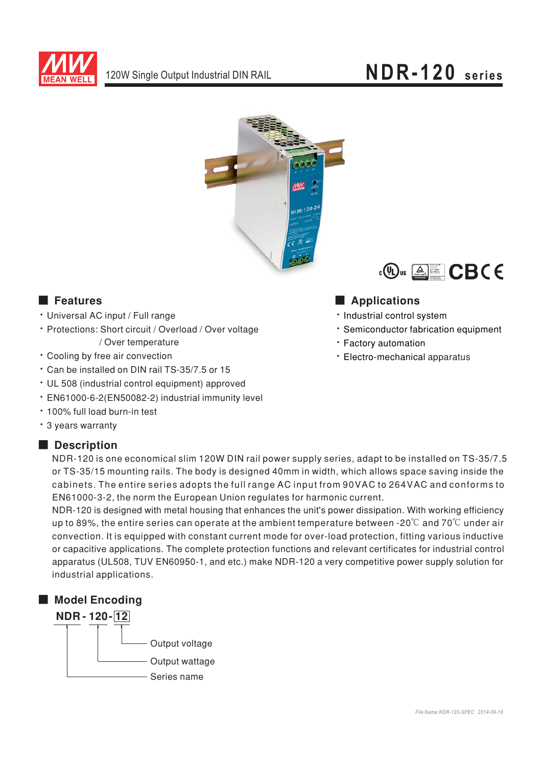

## NDR-120 series



### **Executer** Features

- · Universal AC input / Full range
- · Protections: Short circuit / Overload / Over voltage / Over temperature
- Cooling by free air convection
- \* Can be installed on DIN rail TS-35/7.5 or 15
- UL 508 (industrial control equipment) approved
- · EN61000-6-2(EN50082-2) industrial immunity level
- . 100% full load burn-in test
- \* 3 years warranty

#### Description



### Applications

- · Industrial control system
- \* Semiconductor fabrication equipment
- · Factory automation
- · Electro-mechanical apparatus

NDR-120 is one economical slim 120W DIN rail power supply series, adapt to be installed on TS-35/7.5 or TS-35/15 mounting rails. The body is designed 40mm in width, which allows space saving inside the cabinets. The entire series adopts the full range AC input from 90VAC to 264VAC and conforms to EN61000-3-2, the norm the European Union regulates for harmonic current.

NDR-120 is designed with metal housing that enhances the unit's power dissipation. With working efficiency up to 89%, the entire series can operate at the ambient temperature between -20 $\degree$  and 70 $\degree$ C under air convection. It is equipped with constant current mode for over-load protection, fitting various inductive or capacitive applications. The complete protection functions and relevant certificates for industrial control apparatus (UL508, TUV EN60950-1, and etc.) make NDR-120 a very competitive power supply solution for industrial applications.

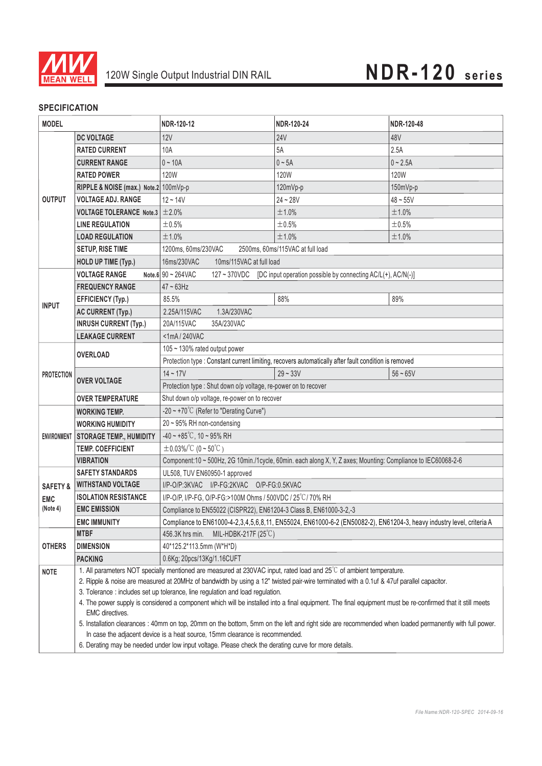

### **SPECIFICATION**

| <b>MODEL</b>         |                                                          | NDR-120-12                                                                                                                                                 | NDR-120-24                       | NDR-120-48  |
|----------------------|----------------------------------------------------------|------------------------------------------------------------------------------------------------------------------------------------------------------------|----------------------------------|-------------|
| <b>OUTPUT</b>        | <b>DC VOLTAGE</b>                                        | 12V                                                                                                                                                        | <b>24V</b>                       | 48V         |
|                      | <b>RATED CURRENT</b>                                     | 10A                                                                                                                                                        | 5A                               | 2.5A        |
|                      | <b>CURRENT RANGE</b>                                     | $0 - 10A$                                                                                                                                                  | $0 - 5A$                         | $0 - 2.5A$  |
|                      | RATED POWER                                              | <b>120W</b>                                                                                                                                                | 120W                             | <b>120W</b> |
|                      | RIPPLE & NOISE (max.) Note.2 100mVp-p                    |                                                                                                                                                            | 120mVp-p                         | 150mVp-p    |
|                      | <b>VOLTAGE ADJ. RANGE</b>                                | $12 - 14V$                                                                                                                                                 | $24 - 28V$                       | $48 - 55V$  |
|                      | <b>VOLTAGE TOLERANCE Note.3</b>                          | ±2.0%                                                                                                                                                      | ±1.0%                            | ±1.0%       |
|                      | <b>LINE REGULATION</b>                                   | ±0.5%                                                                                                                                                      | ±0.5%                            | ±0.5%       |
|                      | <b>LOAD REGULATION</b>                                   | ±1.0%                                                                                                                                                      | ±1.0%                            | ±1.0%       |
|                      | <b>SETUP, RISE TIME</b>                                  | 1200ms, 60ms/230VAC                                                                                                                                        | 2500ms, 60ms/115VAC at full load |             |
|                      | <b>HOLD UP TIME (Typ.)</b>                               | 16ms/230VAC<br>10ms/115VAC at full load                                                                                                                    |                                  |             |
| <b>VOLTAGE RANGE</b> |                                                          | Note 6 $90 - 264$ VAC<br>127 ~ 370VDC [DC input operation possible by connecting AC/L(+), AC/N(-)]                                                         |                                  |             |
| <b>INPUT</b>         | <b>FREQUENCY RANGE</b>                                   | $47 \sim 63$ Hz                                                                                                                                            |                                  |             |
|                      | <b>EFFICIENCY (Typ.)</b>                                 | 85.5%                                                                                                                                                      | 88%                              | 89%         |
|                      | <b>AC CURRENT (Typ.)</b>                                 | 1.3A/230VAC<br>2.25A/115VAC                                                                                                                                |                                  |             |
|                      | <b>INRUSH CURRENT (Typ.)</b>                             | 20A/115VAC<br>35A/230VAC                                                                                                                                   |                                  |             |
|                      | <b>LEAKAGE CURRENT</b>                                   | <1mA/240VAC                                                                                                                                                |                                  |             |
| <b>PROTECTION</b>    | <b>OVERLOAD</b>                                          | 105 ~ 130% rated output power                                                                                                                              |                                  |             |
|                      |                                                          | Protection type : Constant current limiting, recovers automatically after fault condition is removed                                                       |                                  |             |
|                      | <b>OVER VOLTAGE</b>                                      | $14 - 17V$                                                                                                                                                 | $29 - 33V$                       | $56 - 65V$  |
|                      |                                                          | Protection type : Shut down o/p voltage, re-power on to recover                                                                                            |                                  |             |
|                      | <b>OVER TEMPERATURE</b>                                  | Shut down o/p voltage, re-power on to recover                                                                                                              |                                  |             |
| <b>ENVIRONMENT</b>   | <b>WORKING TEMP.</b>                                     | -20 ~ +70 $^{\circ}$ C (Refer to "Derating Curve")                                                                                                         |                                  |             |
|                      | <b>WORKING HUMIDITY</b>                                  | 20~95% RH non-condensing                                                                                                                                   |                                  |             |
|                      | <b>STORAGE TEMP., HUMIDITY</b>                           | $-40 \sim +85^{\circ}$ C, 10 ~ 95% RH                                                                                                                      |                                  |             |
|                      | <b>TEMP, COEFFICIENT</b>                                 | $\pm$ 0.03%/°C (0~50°C)                                                                                                                                    |                                  |             |
|                      | <b>VIBRATION</b>                                         | Component:10 ~ 500Hz, 2G 10min./1cycle, 60min. each along X, Y, Z axes; Mounting: Compliance to IEC60068-2-6                                               |                                  |             |
|                      | UL508, TUV EN60950-1 approved<br><b>SAFETY STANDARDS</b> |                                                                                                                                                            |                                  |             |
| <b>SAFETY &amp;</b>  | <b>WITHSTAND VOLTAGE</b>                                 | I/P-O/P:3KVAC I/P-FG:2KVAC O/P-FG:0.5KVAC                                                                                                                  |                                  |             |
| <b>EMC</b>           | <b>ISOLATION RESISTANCE</b>                              | I/P-O/P, I/P-FG, O/P-FG:>100M Ohms / 500VDC / 25°C/ 70% RH<br>Compliance to EN55022 (CISPR22), EN61204-3 Class B, EN61000-3-2,-3                           |                                  |             |
| (Note 4)             | <b>EMC EMISSION</b>                                      |                                                                                                                                                            |                                  |             |
|                      | <b>EMC IMMUNITY</b>                                      | Compliance to EN61000-4-2,3,4,5,6,8,11, EN55024, EN61000-6-2 (EN50082-2), EN61204-3, heavy industry level, criteria A                                      |                                  |             |
| <b>OTHERS</b>        | <b>MTBF</b>                                              | MIL-HDBK-217F $(25^{\circ}C)$<br>456.3K hrs min.                                                                                                           |                                  |             |
|                      | <b>DIMENSION</b>                                         | 40*125.2*113.5mm (W*H*D)                                                                                                                                   |                                  |             |
|                      | <b>PACKING</b>                                           | 0.6Kg; 20pcs/13Kg/1.16CUFT                                                                                                                                 |                                  |             |
| <b>NOTE</b>          |                                                          | 1. All parameters NOT specially mentioned are measured at 230VAC input, rated load and 25°C of ambient temperature.                                        |                                  |             |
|                      |                                                          | 2. Ripple & noise are measured at 20MHz of bandwidth by using a 12" twisted pair-wire terminated with a 0.1uf & 47uf parallel capacitor.                   |                                  |             |
|                      |                                                          | 3. Tolerance : includes set up tolerance, line regulation and load regulation.                                                                             |                                  |             |
|                      | EMC directives.                                          | 4. The power supply is considered a component which will be installed into a final equipment. The final equipment must be re-confirmed that it still meets |                                  |             |
|                      |                                                          | 5. Installation clearances : 40mm on top, 20mm on the bottom, 5mm on the left and right side are recommended when loaded permanently with full power.      |                                  |             |
|                      |                                                          | In case the adjacent device is a heat source, 15mm clearance is recommended.                                                                               |                                  |             |
|                      |                                                          | 6. Derating may be needed under low input voltage. Please check the derating curve for more details.                                                       |                                  |             |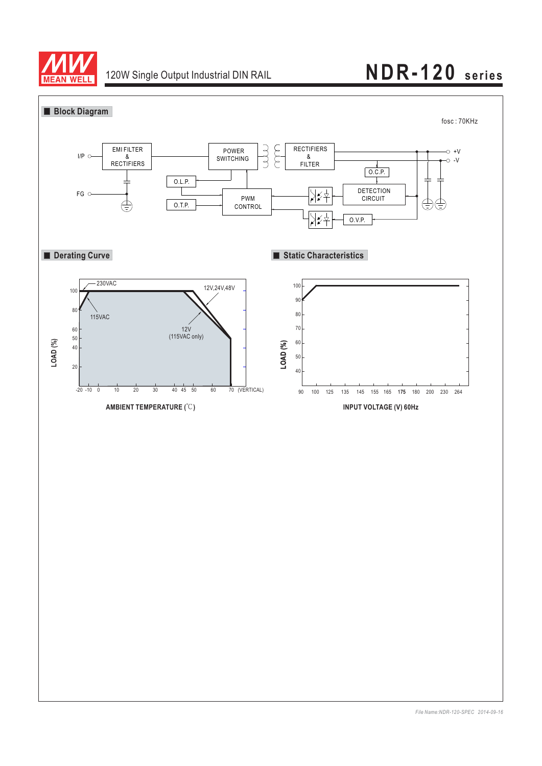

# 120W Single Output Industrial DIN RAIL **NDR-120** series